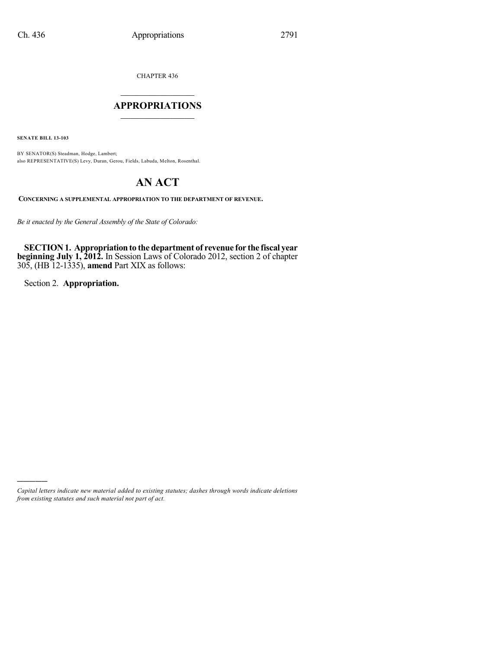CHAPTER 436

## $\mathcal{L}_\text{max}$  . The set of the set of the set of the set of the set of the set of the set of the set of the set of the set of the set of the set of the set of the set of the set of the set of the set of the set of the set **APPROPRIATIONS**  $\_$   $\_$   $\_$   $\_$   $\_$   $\_$   $\_$   $\_$

**SENATE BILL 13-103**

BY SENATOR(S) Steadman, Hodge, Lambert; also REPRESENTATIVE(S) Levy, Duran, Gerou, Fields, Labuda, Melton, Rosenthal.

# **AN ACT**

**CONCERNING A SUPPLEMENTAL APPROPRIATION TO THE DEPARTMENT OF REVENUE.**

*Be it enacted by the General Assembly of the State of Colorado:*

**SECTION1. Appropriationto the department of revenue for the fiscal year beginning July 1, 2012.** In Session Laws of Colorado 2012, section 2 of chapter 305, (HB 12-1335), **amend** Part XIX as follows:

Section 2. **Appropriation.**

)))))

*Capital letters indicate new material added to existing statutes; dashes through words indicate deletions from existing statutes and such material not part of act.*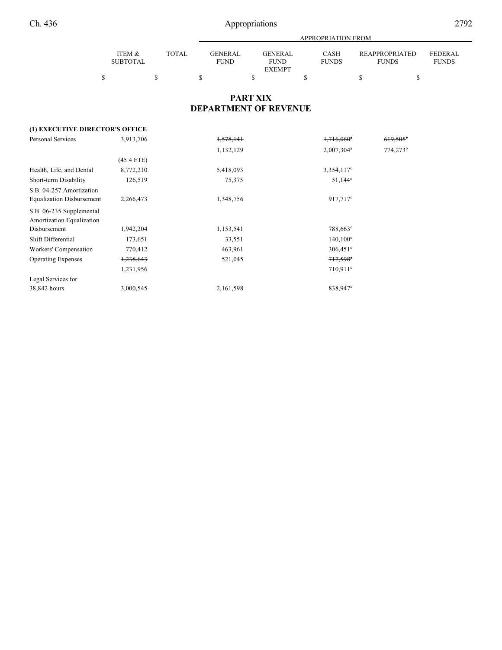|                 |       |             | APPROPRIATION FROM |              |                |                |  |  |  |
|-----------------|-------|-------------|--------------------|--------------|----------------|----------------|--|--|--|
|                 |       |             |                    |              |                |                |  |  |  |
| ITEM &          | TOTAL | GENER AL.   | <b>GENERAL</b>     | <b>CASH</b>  | REAPPROPRIATED | <b>FEDERAL</b> |  |  |  |
| <b>SUBTOTAL</b> |       | <b>FUND</b> | <b>FUND</b>        | <b>FUNDS</b> | <b>FUNDS</b>   | <b>FUNDS</b>   |  |  |  |
|                 |       |             | <b>EXEMPT</b>      |              |                |                |  |  |  |
|                 |       |             |                    |              |                |                |  |  |  |

## **PART XIX DEPARTMENT OF REVENUE**

## **(1) EXECUTIVE DIRECTOR'S OFFICE**

| <b>Personal Services</b>         | 3,913,706            | 1,578,141 | $1,716,060$ <sup>a</sup> | $619,505^{\circ}$ |
|----------------------------------|----------------------|-----------|--------------------------|-------------------|
|                                  |                      | 1,132,129 | $2,007,304^a$            | $774,273^b$       |
|                                  | $(45.4$ FTE)         |           |                          |                   |
| Health, Life, and Dental         | 8,772,210            | 5,418,093 | 3,354,117 <sup>c</sup>   |                   |
| Short-term Disability            | 126,519              | 75,375    | $51,144^{\circ}$         |                   |
| S.B. 04-257 Amortization         |                      |           |                          |                   |
| <b>Equalization Disbursement</b> | 2,266,473            | 1,348,756 | 917,717 <sup>c</sup>     |                   |
| S.B. 06-235 Supplemental         |                      |           |                          |                   |
| Amortization Equalization        |                      |           |                          |                   |
| Disbursement                     | 1,942,204            | 1,153,541 | 788,663°                 |                   |
| Shift Differential               | 173,651              | 33,551    | $140,100^{\circ}$        |                   |
| Workers' Compensation            | 770,412              | 463,961   | $306,451$ °              |                   |
| <b>Operating Expenses</b>        | <del>1,238,643</del> | 521,045   | $717,598$ °              |                   |
|                                  | 1,231,956            |           | 710,911 <sup>c</sup>     |                   |
| Legal Services for               |                      |           |                          |                   |
| 38,842 hours                     | 3,000,545            | 2,161,598 | 838,947 <sup>c</sup>     |                   |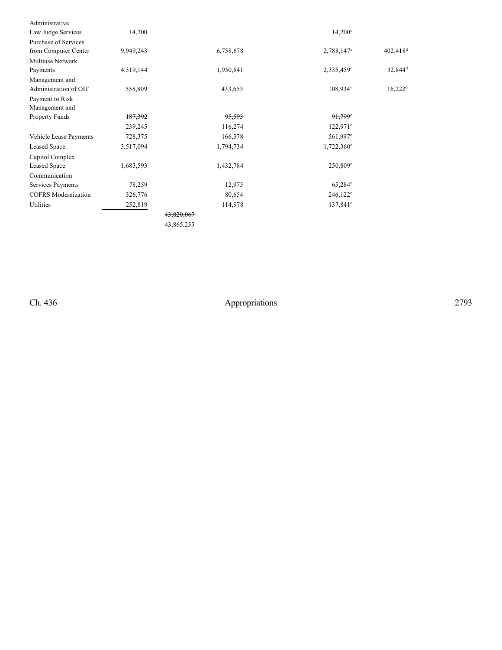| Administrative             |           |            |                        |                        |
|----------------------------|-----------|------------|------------------------|------------------------|
| Law Judge Services         | 14,200    |            | $14,200^{\circ}$       |                        |
| Purchase of Services       |           |            |                        |                        |
| from Computer Center       | 9,949,243 | 6,758,678  | 2,788,147 <sup>c</sup> | $402,418$ <sup>d</sup> |
| Multiuse Network           |           |            |                        |                        |
| Payments                   | 4,319,144 | 1,950,841  | $2,335,459^{\circ}$    | $32,844^d$             |
| Management and             |           |            |                        |                        |
| Administration of OIT      | 558,809   | 433,653    | $108,934^{\circ}$      | $16,222$ <sup>d</sup>  |
| Payment to Risk            |           |            |                        |                        |
| Management and             |           |            |                        |                        |
| Property Funds             | 187,392   | 95,593     | $91,799$ °             |                        |
|                            | 239,245   | 116,274    | $122,971^{\circ}$      |                        |
| Vehicle Lease Payments     | 728,375   | 166,378    | $561,997^{\circ}$      |                        |
| <b>Leased Space</b>        | 3,517,094 | 1,794,734  | $1,722,360^{\circ}$    |                        |
| Capitol Complex            |           |            |                        |                        |
| Leased Space               | 1,683,593 | 1,432,784  | $250,809^{\circ}$      |                        |
| Communication              |           |            |                        |                        |
| Services Payments          | 78,259    | 12,975     | $65,284^\circ$         |                        |
| <b>COFRS</b> Modernization | 326,776   | 80,654     | $246,122^{\circ}$      |                        |
| Utilities                  | 252,819   | 114,978    | $137,841^{\circ}$      |                        |
|                            |           | 43,820,067 |                        |                        |
|                            |           | 43,865,233 |                        |                        |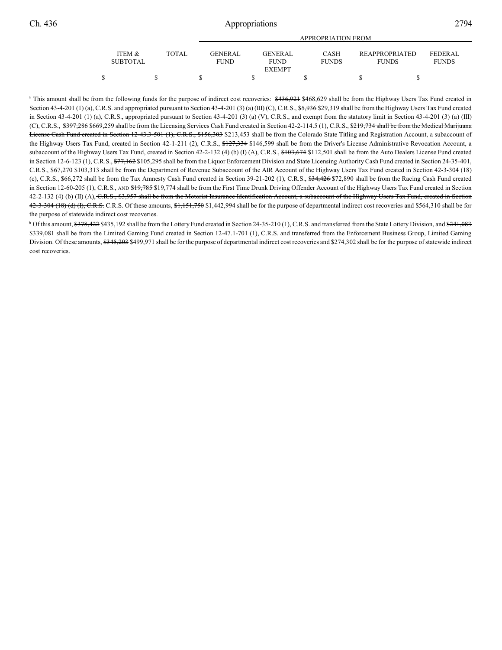|                           |       |                                | <b>APPROPRIATION FROM</b>                       |                             |                                |                                |  |  |  |  |
|---------------------------|-------|--------------------------------|-------------------------------------------------|-----------------------------|--------------------------------|--------------------------------|--|--|--|--|
| ITEM &<br><b>SUBTOTAL</b> | TOTAL | <b>GENER AL</b><br><b>FUND</b> | <b>GENER AL</b><br><b>FUND</b><br><b>EXEMPT</b> | <b>CASH</b><br><b>FUNDS</b> | REAPPROPRIATED<br><b>FUNDS</b> | <b>FEDERAL</b><br><b>FUNDS</b> |  |  |  |  |
|                           |       |                                |                                                 |                             |                                |                                |  |  |  |  |

<sup>a</sup> This amount shall be from the following funds for the purpose of indirect cost recoveries: \$436,921 \$468,629 shall be from the Highway Users Tax Fund created in Section 43-4-201 (1) (a), C.R.S. and appropriated pursuant to Section 43-4-201 (3) (a) (III) (C), C.R.S.,  $$5,936$  \$29,319 shall be from the Highway Users Tax Fund created in Section 43-4-201 (1) (a), C.R.S., appropriated pursuant to Section 43-4-201 (3) (a) (V), C.R.S., and exempt from the statutory limit in Section 43-4-201 (3) (a) (III) (C), C.R.S.,  $\frac{6397,286\,669,259$  shall be from the Licensing Services Cash Fund created in Section 42-2-114.5 (1), C.R.S.,  $\frac{6219,734$  shall be from the Medical Marijuana License Cash Fund created in Section 12-43.3-501 (1), C.R.S., \$156,303 \$213,453 shall be from the Colorado State Titling and Registration Account, a subaccount of the Highway Users Tax Fund, created in Section 42-1-211 (2), C.R.S., \$127,334 \$146,599 shall be from the Driver's License Administrative Revocation Account, a subaccount of the Highway Users Tax Fund, created in Section 42-2-132 (4) (b) (I) (A), C.R.S., \$103,674 \$112,501 shall be from the Auto Dealers License Fund created in Section 12-6-123 (1), C.R.S.,  $77,162$  \$105,295 shall be from the Liquor Enforcement Division and State Licensing Authority Cash Fund created in Section 24-35-401, C.R.S., \$67,270 \$103,313 shall be from the Department of Revenue Subaccount of the AIR Account of the Highway Users Tax Fund created in Section 42-3-304 (18) (c), C.R.S., \$66,272 shall be from the Tax Amnesty Cash Fund created in Section 39-21-202 (1), C.R.S., \$34,426 \$72,890 shall be from the Racing Cash Fund created in Section 12-60-205 (1), C.R.S., AND \$19,785 \$19,774 shall be from the First Time Drunk Driving Offender Account of the Highway Users Tax Fund created in Section 42-2-132 (4) (b) (II) (A), C.R.S., \$3,957 shall be from the Motorist Insurance Identification Account, a subaccount of the Highway Users Tax Fund, created in Section  $42-3-304$  (18) (d) (f), C.R.S. C.R.S. Of these amounts,  $\frac{61,151,750}{1,51,750}$  \$1,442,994 shall be for the purpose of departmental indirect cost recoveries and \$564,310 shall be for the purpose of statewide indirect cost recoveries.

<sup>b</sup> Of this amount, \$378,422 \$435,192 shall be from the Lottery Fund created in Section 24-35-210 (1), C.R.S. and transferred from the State Lottery Division, and \$241,083 \$339,081 shall be from the Limited Gaming Fund created in Section 12-47.1-701 (1), C.R.S. and transferred from the Enforcement Business Group, Limited Gaming Division. Of these amounts, \$345,203 \$499,971 shall be for the purpose of departmental indirect cost recoveries and \$274,302 shall be for the purpose of statewide indirect cost recoveries.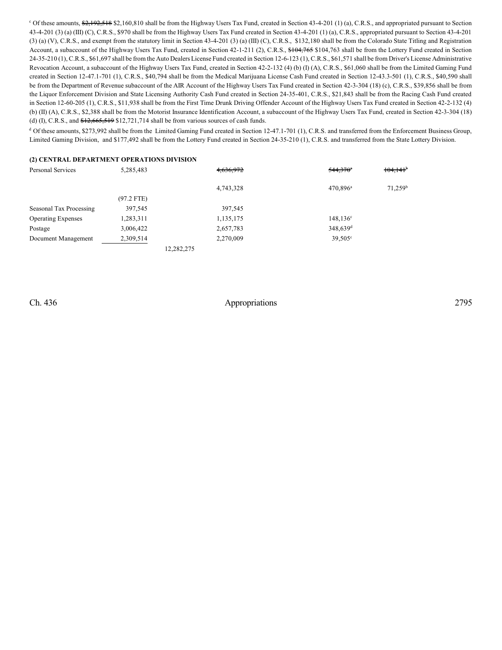$\degree$  Of these amounts,  $\frac{62,192,518}{2,192,518}$  \$2,160,810 shall be from the Highway Users Tax Fund, created in Section 43-4-201 (1) (a), C.R.S., and appropriated pursuant to Section 43-4-201 (3) (a) (III) (C), C.R.S., \$970 shall be from the Highway Users Tax Fund created in Section 43-4-201 (1) (a), C.R.S., appropriated pursuant to Section 43-4-201 (3) (a) (V), C.R.S., and exempt from the statutory limit in Section 43-4-201 (3) (a) (III) (C), C.R.S., \$132,180 shall be from the Colorado State Titling and Registration Account, a subaccount of the Highway Users Tax Fund, created in Section 42-1-211 (2), C.R.S., \$104,765 \$104,763 shall be from the Lottery Fund created in Section 24-35-210 (1), C.R.S., \$61,697 shall be from the Auto Dealers License Fund created in Section 12-6-123 (1), C.R.S., \$61,571 shall be from Driver's License Administrative Revocation Account, a subaccount of the Highway Users Tax Fund, created in Section 42-2-132 (4) (b) (I) (A), C.R.S., \$61,060 shall be from the Limited Gaming Fund created in Section 12-47.1-701 (1), C.R.S., \$40,794 shall be from the Medical Marijuana License Cash Fund created in Section 12-43.3-501 (1), C.R.S., \$40,590 shall be from the Department of Revenue subaccount of the AIR Account of the Highway Users Tax Fund created in Section 42-3-304 (18) (c), C.R.S., \$39,856 shall be from the Liquor Enforcement Division and State Licensing Authority Cash Fund created in Section 24-35-401, C.R.S., \$21,843 shall be from the Racing Cash Fund created in Section 12-60-205 (1), C.R.S., \$11,938 shall be from the First Time Drunk Driving Offender Account of the Highway Users Tax Fund created in Section 42-2-132 (4) (b) (II) (A), C.R.S., \$2,388 shall be from the Motorist Insurance Identification Account, a subaccount of the Highway Users Tax Fund, created in Section 42-3-304 (18) (d) (I), C.R.S., and  $$12,665,519$  \$12,721,714 shall be from various sources of cash funds.

<sup>d</sup> Of these amounts, \$273,992 shall be from the Limited Gaming Fund created in Section 12-47.1-701 (1), C.R.S. and transferred from the Enforcement Business Group, Limited Gaming Division, and \$177,492 shall be from the Lottery Fund created in Section 24-35-210 (1), C.R.S. and transferred from the State Lottery Division.

#### **(2) CENTRAL DEPARTMENT OPERATIONS DIVISION**

| Personal Services         | 5,285,483    | 4,636,972  | $544,370$ <sup>*</sup> | $104,141$ <sup>b</sup> |
|---------------------------|--------------|------------|------------------------|------------------------|
|                           |              | 4,743,328  | $470.896^a$            | $71,259^b$             |
|                           | $(97.2$ FTE) |            |                        |                        |
| Seasonal Tax Processing   | 397,545      | 397,545    |                        |                        |
| <b>Operating Expenses</b> | 1,283,311    | 1,135,175  | $148, 136^{\circ}$     |                        |
| Postage                   | 3,006,422    | 2,657,783  | 348,639 <sup>d</sup>   |                        |
| Document Management       | 2,309,514    | 2,270,009  | $39,505^{\circ}$       |                        |
|                           |              | 12,282,275 |                        |                        |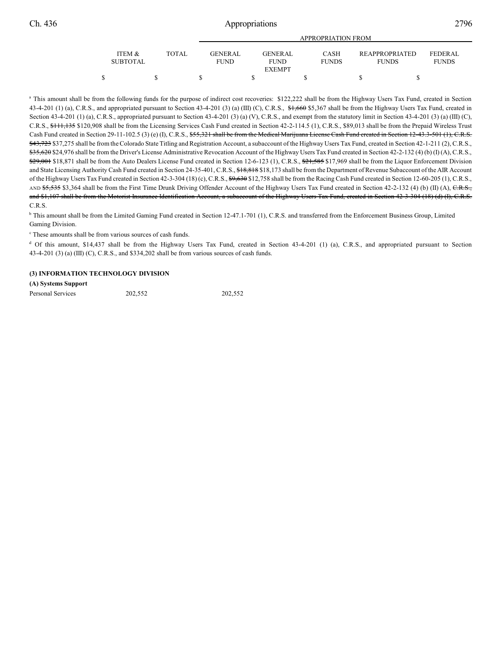|                 |       | APPROPRIATION FROM |  |                              |  |                             |  |                |  |                |  |
|-----------------|-------|--------------------|--|------------------------------|--|-----------------------------|--|----------------|--|----------------|--|
| ITEM &          | TOTAL | <b>GENERAL</b>     |  | <b>GENERAL</b>               |  | <b>CASH</b><br><b>FUNDS</b> |  | REAPPROPRIATED |  | <b>FEDERAL</b> |  |
| <b>SUBTOTAL</b> |       | <b>FUND</b>        |  | <b>FUND</b><br><b>EXEMPT</b> |  |                             |  | <b>FUNDS</b>   |  | <b>FUNDS</b>   |  |
|                 |       |                    |  |                              |  |                             |  |                |  |                |  |

<sup>a</sup> This amount shall be from the following funds for the purpose of indirect cost recoveries: \$122,222 shall be from the Highway Users Tax Fund, created in Section 43-4-201 (1) (a), C.R.S., and appropriated pursuant to Section 43-4-201 (3) (a) (III) (C), C.R.S., \$1,660 \$5,367 shall be from the Highway Users Tax Fund, created in Section 43-4-201 (1) (a), C.R.S., appropriated pursuant to Section 43-4-201 (3) (a) (V), C.R.S., and exempt from the statutory limit in Section 43-4-201 (3) (a) (III) (C), C.R.S., \$111,135 \$120,908 shall be from the Licensing Services Cash Fund created in Section 42-2-114.5 (1), C.R.S., \$89,013 shall be from the Prepaid Wireless Trust Cash Fund created in Section 29-11-102.5 (3) (e) (I), C.R.S., \$55,321 shall be from the Medical Marijuana License Cash Fund created in Section 12-43.3-501 (1), C.R.S. \$43,723 \$37,275 shall be from the Colorado State Titling and Registration Account, a subaccount of the Highway Users Tax Fund, created in Section 42-1-211 (2), C.R.S., \$35,620 \$24,976 shall be from the Driver's License Administrative Revocation Account of the Highway Users Tax Fund created in Section 42-2-132 (4) (b) (I) (A), C.R.S., \$29,001 \$18,871 shall be from the Auto Dealers License Fund created in Section 12-6-123 (1), C.R.S., \$21,585 \$17,969 shall be from the Liquor Enforcement Division and State Licensing Authority Cash Fund created in Section 24-35-401, C.R.S., \$18,818 \$18,173 shall be from the Department of Revenue Subaccount of the AIR Account of the Highway Users Tax Fund created in Section 42-3-304 (18) (c), C.R.S.,  $\frac{69}{630}$  \$12,758 shall be from the Racing Cash Fund created in Section 12-60-205 (1), C.R.S., AND \$5,535 \$3,364 shall be from the First Time Drunk Driving Offender Account of the Highway Users Tax Fund created in Section 42-2-132 (4) (b) (II) (A), C.R.S., and \$1,107 shall be from the Motorist Insurance Identification Account, a subaccount of the Highway Users Tax Fund, created in Section 42-3-304 (18) (d) (I), C.R.S. C.R.S.

<sup>b</sup> This amount shall be from the Limited Gaming Fund created in Section 12-47.1-701 (1), C.R.S. and transferred from the Enforcement Business Group, Limited Gaming Division.

 $\degree$  These amounts shall be from various sources of cash funds.

<sup>d</sup> Of this amount, \$14,437 shall be from the Highway Users Tax Fund, created in Section 43-4-201 (1) (a), C.R.S., and appropriated pursuant to Section 43-4-201 (3) (a) (III) (C), C.R.S., and \$334,202 shall be from various sources of cash funds.

#### **(3) INFORMATION TECHNOLOGY DIVISION**

**(A) Systems Support**

Personal Services 202,552 202,552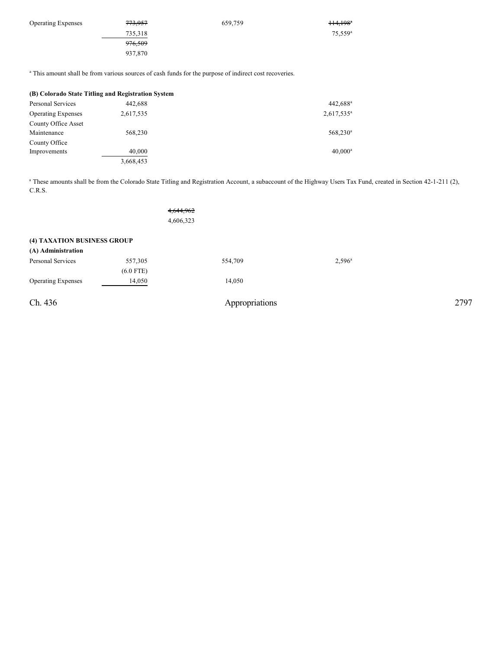| $114,198$ <sup>*</sup> |
|------------------------|
| $75,559^{\rm a}$       |
|                        |
|                        |
|                        |

<sup>a</sup> This amount shall be from various sources of cash funds for the purpose of indirect cost recoveries.

| (B) Colorado State Titling and Registration System |           |                        |  |  |  |  |  |
|----------------------------------------------------|-----------|------------------------|--|--|--|--|--|
| Personal Services                                  | 442,688   | $442,688$ <sup>a</sup> |  |  |  |  |  |
| <b>Operating Expenses</b>                          | 2,617,535 | $2,617,535^a$          |  |  |  |  |  |
| County Office Asset                                |           |                        |  |  |  |  |  |
| Maintenance                                        | 568,230   | $568,230^a$            |  |  |  |  |  |
| County Office                                      |           |                        |  |  |  |  |  |
| Improvements                                       | 40,000    | $40.000^a$             |  |  |  |  |  |
|                                                    | 3,668,453 |                        |  |  |  |  |  |

<sup>a</sup> These amounts shall be from the Colorado State Titling and Registration Account, a subaccount of the Highway Users Tax Fund, created in Section 42-1-211 (2), C.R.S.

|                                                   |                        | 4,644,962<br>4,606,323 |                |                 |  |      |
|---------------------------------------------------|------------------------|------------------------|----------------|-----------------|--|------|
| (4) TAXATION BUSINESS GROUP<br>(A) Administration |                        |                        |                |                 |  |      |
| Personal Services                                 | 557,305<br>$(6.0$ FTE) |                        | 554,709        | $2,596^{\circ}$ |  |      |
| <b>Operating Expenses</b>                         | 14,050                 |                        | 14,050         |                 |  |      |
| Ch. 436                                           |                        |                        | Appropriations |                 |  | 2797 |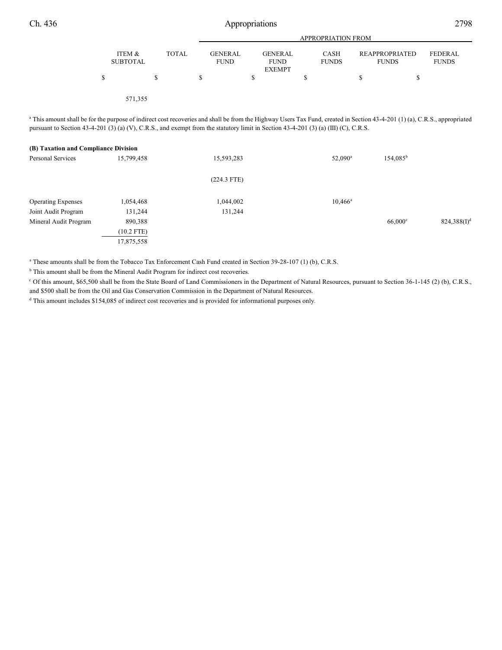|                           |              |                               | <b>APPROPRIATION FROM</b>                      |                             |                                       |                                |  |  |  |
|---------------------------|--------------|-------------------------------|------------------------------------------------|-----------------------------|---------------------------------------|--------------------------------|--|--|--|
| ITEM &<br><b>SUBTOTAL</b> | <b>TOTAL</b> | <b>GENERAL</b><br><b>FUND</b> | <b>GENERAL</b><br><b>FUND</b><br><b>EXEMPT</b> | <b>CASH</b><br><b>FUNDS</b> | <b>REAPPROPRIATED</b><br><b>FUNDS</b> | <b>FEDERAL</b><br><b>FUNDS</b> |  |  |  |
|                           | \$           |                               |                                                | S                           | D                                     |                                |  |  |  |
| 571,355                   |              |                               |                                                |                             |                                       |                                |  |  |  |

<sup>a</sup> This amount shall be for the purpose of indirect cost recoveries and shall be from the Highway Users Tax Fund, created in Section 43-4-201 (1) (a), C.R.S., appropriated pursuant to Section 43-4-201 (3) (a) (V), C.R.S., and exempt from the statutory limit in Section 43-4-201 (3) (a) (III) (C), C.R.S.

| (B) Taxation and Compliance Division |              |               |                     |                   |                |
|--------------------------------------|--------------|---------------|---------------------|-------------------|----------------|
| Personal Services                    | 15,799,458   | 15,593,283    | 52,090 <sup>a</sup> | $154,085^{\rm b}$ |                |
|                                      |              | $(224.3$ FTE) |                     |                   |                |
| <b>Operating Expenses</b>            | 1,054,468    | 1,044,002     | $10,466^{\rm a}$    |                   |                |
| Joint Audit Program                  | 131,244      | 131,244       |                     |                   |                |
| Mineral Audit Program                | 890,388      |               |                     | $66,000^\circ$    | $824,388(I)^d$ |
|                                      | $(10.2$ FTE) |               |                     |                   |                |
|                                      | 17,875,558   |               |                     |                   |                |

<sup>a</sup> These amounts shall be from the Tobacco Tax Enforcement Cash Fund created in Section 39-28-107 (1) (b), C.R.S.

 $<sup>b</sup>$  This amount shall be from the Mineral Audit Program for indirect cost recoveries.</sup>

<sup>c</sup> Of this amount, \$65,500 shall be from the State Board of Land Commissioners in the Department of Natural Resources, pursuant to Section 36-1-145 (2) (b), C.R.S., and \$500 shall be from the Oil and Gas Conservation Commission in the Department of Natural Resources.

<sup>d</sup> This amount includes \$154,085 of indirect cost recoveries and is provided for informational purposes only.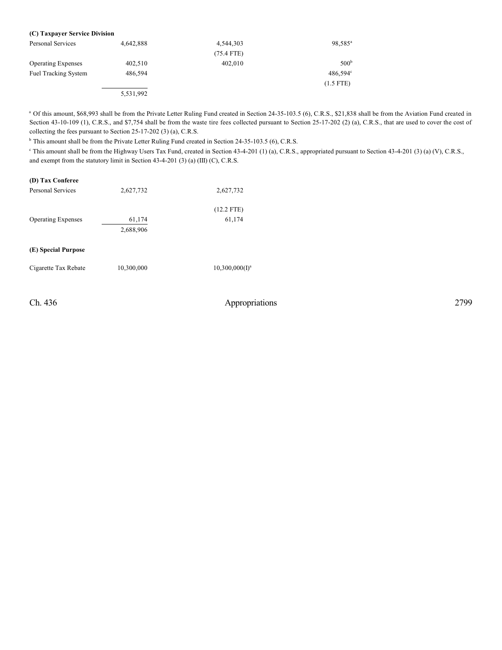| (C) Taxpayer Service Division |           |              |                     |
|-------------------------------|-----------|--------------|---------------------|
| Personal Services             | 4.642.888 | 4.544.303    | 98,585 <sup>a</sup> |
|                               |           | $(75.4$ FTE) |                     |
| <b>Operating Expenses</b>     | 402,510   | 402.010      | 500 <sup>b</sup>    |
| <b>Fuel Tracking System</b>   | 486.594   |              | $486,594^{\circ}$   |
|                               |           |              | $(1.5$ FTE)         |
|                               | 5,531,992 |              |                     |

<sup>a</sup> Of this amount, \$68,993 shall be from the Private Letter Ruling Fund created in Section 24-35-103.5 (6), C.R.S., \$21,838 shall be from the Aviation Fund created in Section 43-10-109 (1), C.R.S., and \$7,754 shall be from the waste tire fees collected pursuant to Section 25-17-202 (2) (a), C.R.S., that are used to cover the cost of collecting the fees pursuant to Section 25-17-202 (3) (a), C.R.S.

<sup>b</sup> This amount shall be from the Private Letter Ruling Fund created in Section 24-35-103.5 (6), C.R.S.

<sup>e</sup> This amount shall be from the Highway Users Tax Fund, created in Section 43-4-201 (1) (a), C.R.S., appropriated pursuant to Section 43-4-201 (3) (a) (V), C.R.S., and exempt from the statutory limit in Section 43-4-201 (3) (a) (III) (C), C.R.S.

| (D) Tax Conferee          |            |                   |
|---------------------------|------------|-------------------|
| Personal Services         | 2,627,732  | 2,627,732         |
|                           |            | $(12.2$ FTE)      |
| <b>Operating Expenses</b> | 61,174     | 61,174            |
|                           | 2,688,906  |                   |
| (E) Special Purpose       |            |                   |
| Cigarette Tax Rebate      | 10,300,000 | $10,300,000(I)^a$ |
|                           |            |                   |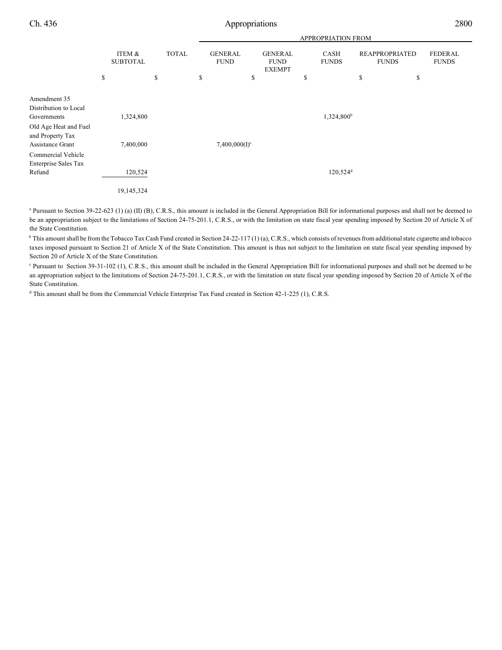|                                                                                                   |                           |              | APPROPRIATION FROM            |                                                |    |                        |                                       |                                |
|---------------------------------------------------------------------------------------------------|---------------------------|--------------|-------------------------------|------------------------------------------------|----|------------------------|---------------------------------------|--------------------------------|
|                                                                                                   | ITEM &<br><b>SUBTOTAL</b> | <b>TOTAL</b> | <b>GENERAL</b><br><b>FUND</b> | <b>GENERAL</b><br><b>FUND</b><br><b>EXEMPT</b> |    | CASH<br><b>FUNDS</b>   | <b>REAPPROPRIATED</b><br><b>FUNDS</b> | <b>FEDERAL</b><br><b>FUNDS</b> |
|                                                                                                   | \$                        | \$           | \$<br>\$                      |                                                | \$ |                        | \$<br>\$                              |                                |
| Amendment 35<br>Distribution to Local<br>Governments<br>Old Age Heat and Fuel<br>and Property Tax | 1,324,800                 |              |                               |                                                |    | 1,324,800 <sup>b</sup> |                                       |                                |
| Assistance Grant<br>Commercial Vehicle<br><b>Enterprise Sales Tax</b>                             | 7,400,000                 |              | $7,400,000(I)^c$              |                                                |    |                        |                                       |                                |
| Refund                                                                                            | 120,524                   |              |                               |                                                |    | $120,524$ <sup>d</sup> |                                       |                                |
|                                                                                                   | 19,145,324                |              |                               |                                                |    |                        |                                       |                                |

<sup>a</sup> Pursuant to Section 39-22-623 (1) (a) (II) (B), C.R.S., this amount is included in the General Appropriation Bill for informational purposes and shall not be deemed to be an appropriation subject to the limitations of Section 24-75-201.1, C.R.S., or with the limitation on state fiscal year spending imposed by Section 20 of Article X of the State Constitution.

<sup>b</sup> This amount shall be from the Tobacco Tax Cash Fund created in Section 24-22-117 (1) (a), C.R.S., which consists of revenues from additional state cigarette and tobacco taxes imposed pursuant to Section 21 of Article X of the State Constitution. This amount is thus not subject to the limitation on state fiscal year spending imposed by Section 20 of Article X of the State Constitution.

<sup>c</sup> Pursuant to Section 39-31-102 (1), C.R.S., this amount shall be included in the General Appropriation Bill for informational purposes and shall not be deemed to be an appropriation subject to the limitations of Section 24-75-201.1, C.R.S., or with the limitation on state fiscal year spending imposed by Section 20 of Article X of the State Constitution.

<sup>d</sup> This amount shall be from the Commercial Vehicle Enterprise Tax Fund created in Section 42-1-225 (1), C.R.S.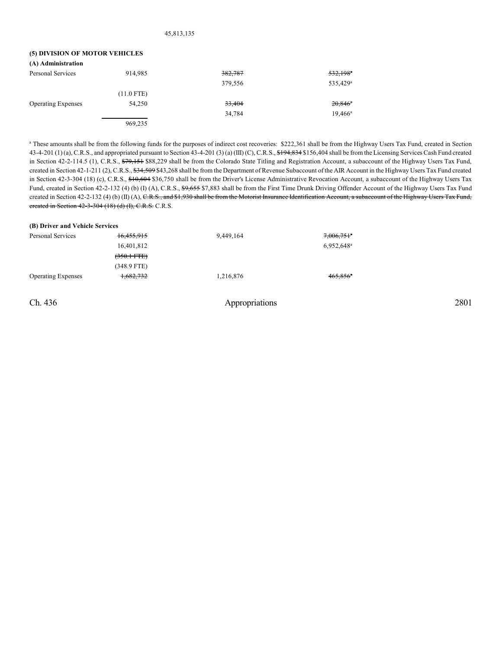## **(5) DIVISION OF MOTOR VEHICLES**

**(A) Administration**

| (A) Administration        |              |         |                        |
|---------------------------|--------------|---------|------------------------|
| Personal Services         | 914,985      | 382,787 | $532,198$ <sup>a</sup> |
|                           |              | 379,556 | 535,429 <sup>a</sup>   |
|                           | $(11.0$ FTE) |         |                        |
| <b>Operating Expenses</b> | 54.250       | 33,404  | $20,846$ <sup>*</sup>  |
|                           |              | 34,784  | $19.466^{\circ}$       |
|                           | 969,235      |         |                        |

<sup>a</sup> These amounts shall be from the following funds for the purposes of indirect cost recoveries: \$222,361 shall be from the Highway Users Tax Fund, created in Section 43-4-201 (1) (a), C.R.S., and appropriated pursuant to Section 43-4-201 (3) (a) (III) (C), C.R.S., \$194,834 \$156,404 shall be from the Licensing Services Cash Fund created in Section 42-2-114.5 (1), C.R.S., \$79,151 \$88,229 shall be from the Colorado State Titling and Registration Account, a subaccount of the Highway Users Tax Fund, created in Section 42-1-211 (2), C.R.S.,  $\frac{24,509}{3,268}$  shall be from the Department of Revenue Subaccount of the AIR Account in the Highway Users Tax Fund created in Section 42-3-304 (18) (c), C.R.S.,  $$10,604$  \$36,750 shall be from the Driver's License Administrative Revocation Account, a subaccount of the Highway Users Tax Fund, created in Section 42-2-132 (4) (b) (I) (A), C.R.S., \$9,655 \$7,883 shall be from the First Time Drunk Driving Offender Account of the Highway Users Tax Fund created in Section 42-2-132 (4) (b) (II) (A), C.R.S., and \$1,930 shall be from the Motorist Insurance Identification Account, a subaccount of the Highway Users Tax Fund, created in Section 42-3-304 (18) (d) (I), C.R.S. C.R.S.

| (B) Driver and Vehicle Services |                       |           |                          |  |  |  |  |  |
|---------------------------------|-----------------------|-----------|--------------------------|--|--|--|--|--|
| Personal Services               | 16,455,915            | 9,449,164 | $7,006,751$ <sup>a</sup> |  |  |  |  |  |
|                                 | 16,401,812            |           | 6,952,648 <sup>a</sup>   |  |  |  |  |  |
|                                 | $(350.1 \text{ FFE})$ |           |                          |  |  |  |  |  |
|                                 | $(348.9$ FTE)         |           |                          |  |  |  |  |  |
| <b>Operating Expenses</b>       | 1,682,732             | 1,216,876 | $465.856$ <sup>a</sup>   |  |  |  |  |  |
|                                 |                       |           |                          |  |  |  |  |  |
|                                 |                       |           |                          |  |  |  |  |  |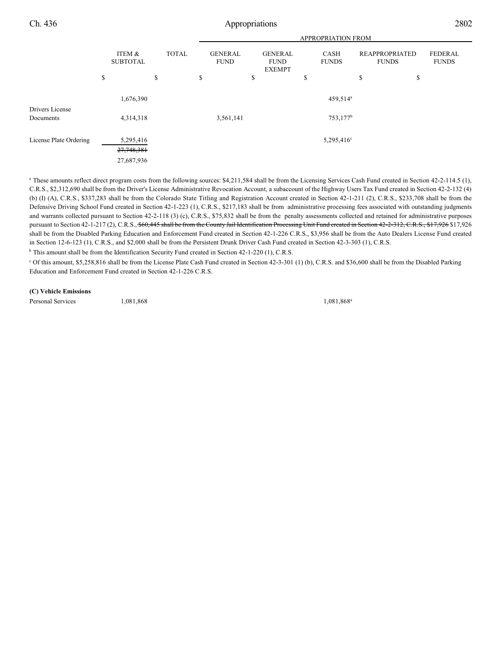|                        |    |                                       |    |  | APPROPRIATION FROM |                 |  |    |                      |              |                               |  |                                                |  |                             |                                       |                                |
|------------------------|----|---------------------------------------|----|--|--------------------|-----------------|--|----|----------------------|--------------|-------------------------------|--|------------------------------------------------|--|-----------------------------|---------------------------------------|--------------------------------|
|                        |    | ITEM &                                |    |  |                    | <b>SUBTOTAL</b> |  |    |                      | <b>TOTAL</b> | <b>GENERAL</b><br><b>FUND</b> |  | <b>GENERAL</b><br><b>FUND</b><br><b>EXEMPT</b> |  | <b>CASH</b><br><b>FUNDS</b> | <b>REAPPROPRIATED</b><br><b>FUNDS</b> | <b>FEDERAL</b><br><b>FUNDS</b> |
|                        | \$ |                                       | \$ |  | \$                 | \$              |  | \$ |                      | \$           | \$                            |  |                                                |  |                             |                                       |                                |
| Drivers License        |    | 1,676,390                             |    |  |                    |                 |  |    | 459,514 <sup>a</sup> |              |                               |  |                                                |  |                             |                                       |                                |
| Documents              |    | 4,314,318                             |    |  | 3,561,141          |                 |  |    | $753,177^b$          |              |                               |  |                                                |  |                             |                                       |                                |
| License Plate Ordering |    | 5,295,416<br>27,748,381<br>27,687,936 |    |  |                    |                 |  |    | $5,295,416^{\circ}$  |              |                               |  |                                                |  |                             |                                       |                                |

<sup>a</sup> These amounts reflect direct program costs from the following sources: \$4,211,584 shall be from the Licensing Services Cash Fund created in Section 42-2-114.5 (1), C.R.S., \$2,312,690 shall be from the Driver's License Administrative Revocation Account, a subaccount of the Highway Users Tax Fund created in Section 42-2-132 (4) (b) (I) (A), C.R.S., \$337,283 shall be from the Colorado State Titling and Registration Account created in Section 42-1-211 (2), C.R.S., \$233,708 shall be from the Defensive Driving School Fund created in Section 42-1-223 (1), C.R.S., \$217,183 shall be from administrative processing fees associated with outstanding judgments and warrants collected pursuant to Section 42-2-118 (3) (c), C.R.S., \$75,832 shall be from the penalty assessments collected and retained for administrative purposes pursuant to Section 42-1-217 (2), C.R.S., \$60,445 shall be from the County Jail Identification Processing Unit Fund created in Section 42-2-312, C.R.S., \$17,926 \$17,926 shall be from the Disabled Parking Education and Enforcement Fund created in Section 42-1-226 C.R.S., \$3,956 shall be from the Auto Dealers License Fund created in Section 12-6-123 (1), C.R.S., and \$2,000 shall be from the Persistent Drunk Driver Cash Fund created in Section 42-3-303 (1), C.R.S.

 $<sup>b</sup>$  This amount shall be from the Identification Security Fund created in Section 42-1-220 (1), C.R.S.</sup>

 $\degree$  Of this amount, \$5,258,816 shall be from the License Plate Cash Fund created in Section 42-3-301 (1) (b), C.R.S. and \$36,600 shall be from the Disabled Parking Education and Enforcement Fund created in Section 42-1-226 C.R.S.

#### **(C) Vehicle Emissions**

Personal Services 1,081,868

1,081,868<sup>a</sup>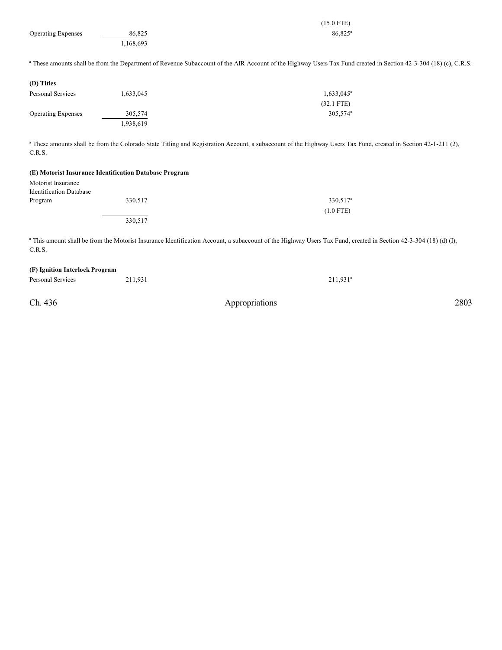|                           |           | $(15.0$ FTE)                                                                                                                                                                |
|---------------------------|-----------|-----------------------------------------------------------------------------------------------------------------------------------------------------------------------------|
| <b>Operating Expenses</b> | 86,825    | $86,825^{\circ}$                                                                                                                                                            |
|                           | 1,168,693 |                                                                                                                                                                             |
|                           |           | <sup>a</sup> These amounts shall be from the Department of Revenue Subaccount of the AIR Account of the Highway Users Tax Fund created in Section 42-3-304 (18) (c), C.R.S. |
| (D) Titles                |           |                                                                                                                                                                             |
| <b>Personal Services</b>  | 1,633,045 | $1,633,045^a$                                                                                                                                                               |
|                           |           | $(32.1$ FTE)                                                                                                                                                                |
| <b>Operating Expenses</b> | 305,574   | 305,574 <sup>a</sup>                                                                                                                                                        |
|                           | 1,938,619 |                                                                                                                                                                             |
| C.R.S.                    |           | <sup>a</sup> These amounts shall be from the Colorado State Titling and Registration Account, a subaccount of the Highway Users Tax Fund, created in Section 42-1-211 (2),  |

#### **(E) Motorist Insurance Identification Database Program**

| Motorist Insurance             |         |                      |
|--------------------------------|---------|----------------------|
| <b>Identification Database</b> |         |                      |
| Program                        | 330,517 | 330,517 <sup>a</sup> |
|                                |         | $(1.0$ FTE)          |
|                                | 330,517 |                      |
|                                |         |                      |

<sup>a</sup> This amount shall be from the Motorist Insurance Identification Account, a subaccount of the Highway Users Tax Fund, created in Section 42-3-304 (18) (d) (I), C.R.S.

## **(F) Ignition Interlock Program**

Personal Services 211,931 211,931

Ch. 436 Appropriations 2803

 $211,931$ <sup>a</sup>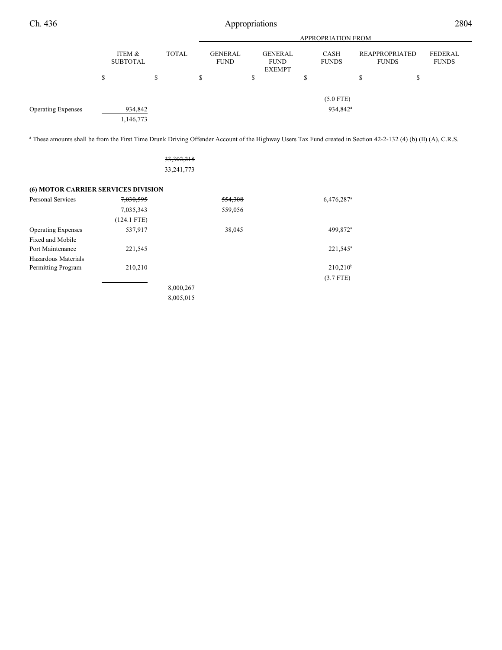|                           | <b>APPROPRIATION FROM</b>                 |    |    |                               |    |                                         |                        |    |                                |                         |
|---------------------------|-------------------------------------------|----|----|-------------------------------|----|-----------------------------------------|------------------------|----|--------------------------------|-------------------------|
|                           | ITEM &<br><b>TOTAL</b><br><b>SUBTOTAL</b> |    |    | <b>GENERAL</b><br><b>FUND</b> |    | GENERAL<br><b>FUND</b><br><b>EXEMPT</b> | CASH<br><b>FUNDS</b>   |    | REAPPROPRIATED<br><b>FUNDS</b> | FEDERAL<br><b>FUNDS</b> |
|                           | \$                                        | \$ | \$ |                               | \$ |                                         | \$                     | S. | ъ                              |                         |
|                           |                                           |    |    |                               |    |                                         | $(5.0$ FTE)            |    |                                |                         |
| <b>Operating Expenses</b> | 934,842                                   |    |    |                               |    |                                         | $934,842$ <sup>a</sup> |    |                                |                         |
|                           | 1,146,773                                 |    |    |                               |    |                                         |                        |    |                                |                         |

<sup>a</sup> These amounts shall be from the First Time Drunk Driving Offender Account of the Highway Users Tax Fund created in Section 42-2-132 (4) (b) (II) (A), C.R.S.

33,302,218 33,241,773

| <b>(6) MOTOR CARRIER SERVICES DIVISION</b> |               |           |         |                          |
|--------------------------------------------|---------------|-----------|---------|--------------------------|
| Personal Services                          | 7,030,595     |           | 554,308 | $6,476,287$ <sup>a</sup> |
|                                            | 7,035,343     |           | 559,056 |                          |
|                                            | $(124.1$ FTE) |           |         |                          |
| <b>Operating Expenses</b>                  | 537,917       |           | 38,045  | 499,872 <sup>a</sup>     |
| Fixed and Mobile                           |               |           |         |                          |
| Port Maintenance                           | 221,545       |           |         | $221,545^{\circ}$        |
| Hazardous Materials                        |               |           |         |                          |
| Permitting Program                         | 210,210       |           |         | $210,210^b$              |
|                                            |               |           |         | $(3.7$ FTE)              |
|                                            |               | 8,000,267 |         |                          |
|                                            |               | 8,005,015 |         |                          |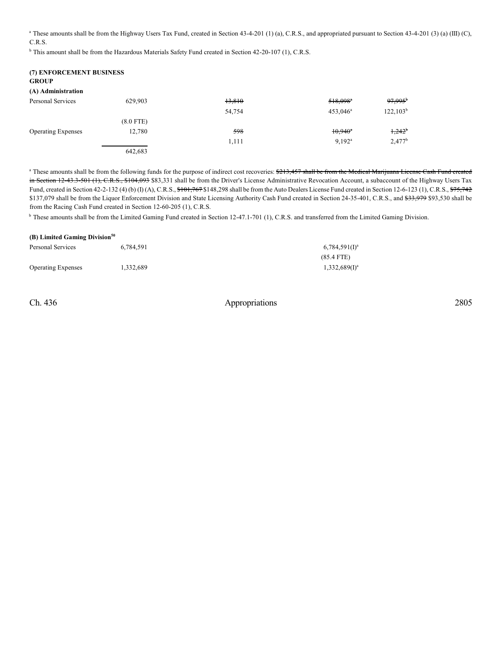<sup>a</sup> These amounts shall be from the Highway Users Tax Fund, created in Section 43-4-201 (1) (a), C.R.S., and appropriated pursuant to Section 43-4-201 (3) (a) (III) (C), C.R.S.

<sup>b</sup> This amount shall be from the Hazardous Materials Safety Fund created in Section 42-20-107 (1), C.R.S.

| (7) ENFORCEMENT BUSINESS<br><b>GROUP</b> |             |        |                        |                       |
|------------------------------------------|-------------|--------|------------------------|-----------------------|
| (A) Administration                       |             |        |                        |                       |
| Personal Services                        | 629,903     | 13,810 | $518,098$ <sup>a</sup> | $97,995$ <sup>b</sup> |
|                                          |             | 54,754 | $453,046^a$            | $122,103^b$           |
|                                          | $(8.0$ FTE) |        |                        |                       |
| <b>Operating Expenses</b>                | 12,780      | 598    | $10,940$ <sup>a</sup>  | $1,242$ <sup>b</sup>  |
|                                          |             | 1,111  | $9,192^a$              | $2,477^b$             |
|                                          | 642.683     |        |                        |                       |

<sup>a</sup> These amounts shall be from the following funds for the purpose of indirect cost recoveries: \$213,457 shall be from the Medical Marijuana License Cash Fund created in Section 12-43.3-501 (1), C.R.S., \$104,093 \$83,331 shall be from the Driver's License Administrative Revocation Account, a subaccount of the Highway Users Tax Fund, created in Section 42-2-132 (4) (b) (I) (A), C.R.S.,  $\frac{676}{3101}$ , 767 \$148,298 shall be from the Auto Dealers License Fund created in Section 12-6-123 (1), C.R.S.,  $\frac{675}{742}$ \$137,079 shall be from the Liquor Enforcement Division and State Licensing Authority Cash Fund created in Section 24-35-401, C.R.S., and \$33,979 \$93,530 shall be from the Racing Cash Fund created in Section 12-60-205 (1), C.R.S.

<sup>b</sup> These amounts shall be from the Limited Gaming Fund created in Section 12-47.1-701 (1), C.R.S. and transferred from the Limited Gaming Division.

| (B) Limited Gaming Division <sup>50</sup> |           |                  |  |  |  |  |
|-------------------------------------------|-----------|------------------|--|--|--|--|
| Personal Services                         | 6.784.591 | $6,784,591(1)^a$ |  |  |  |  |
|                                           |           | $(85.4$ FTE)     |  |  |  |  |
| <b>Operating Expenses</b>                 | 1.332.689 | $1,332,689(1)^a$ |  |  |  |  |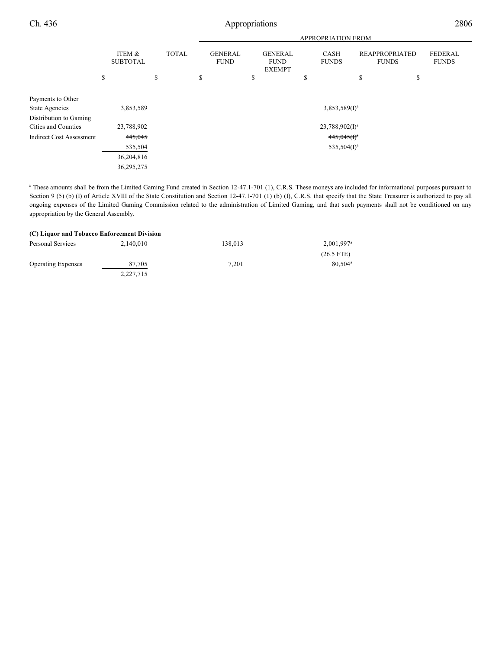|                                 |                           |              | <b>APPROPRIATION FROM</b>     |                                                |                             |                                       |                                |
|---------------------------------|---------------------------|--------------|-------------------------------|------------------------------------------------|-----------------------------|---------------------------------------|--------------------------------|
|                                 | ITEM &<br><b>SUBTOTAL</b> | <b>TOTAL</b> | <b>GENERAL</b><br><b>FUND</b> | <b>GENERAL</b><br><b>FUND</b><br><b>EXEMPT</b> | <b>CASH</b><br><b>FUNDS</b> | <b>REAPPROPRIATED</b><br><b>FUNDS</b> | <b>FEDERAL</b><br><b>FUNDS</b> |
|                                 | \$                        | \$           | \$                            | \$                                             | \$                          | \$<br>\$                              |                                |
| Payments to Other               |                           |              |                               |                                                |                             |                                       |                                |
| <b>State Agencies</b>           | 3,853,589                 |              |                               |                                                | $3,853,589(1)^a$            |                                       |                                |
| Distribution to Gaming          |                           |              |                               |                                                |                             |                                       |                                |
| Cities and Counties             | 23,788,902                |              |                               |                                                | $23,788,902(1)^a$           |                                       |                                |
| <b>Indirect Cost Assessment</b> | 445,045                   |              |                               |                                                | $445,045(f)^a$              |                                       |                                |
|                                 | 535,504                   |              |                               |                                                | $535,504(I)^a$              |                                       |                                |
|                                 | 36,204,816                |              |                               |                                                |                             |                                       |                                |
|                                 | 36,295,275                |              |                               |                                                |                             |                                       |                                |

<sup>a</sup> These amounts shall be from the Limited Gaming Fund created in Section 12-47.1-701 (1), C.R.S. These moneys are included for informational purposes pursuant to Section 9 (5) (b) (I) of Article XVIII of the State Constitution and Section 12-47.1-701 (1) (b) (I), C.R.S. that specify that the State Treasurer is authorized to pay all ongoing expenses of the Limited Gaming Commission related to the administration of Limited Gaming, and that such payments shall not be conditioned on any appropriation by the General Assembly.

#### **(C) Liquor and Tobacco Enforcement Division**

| Personal Services         | 2.140.010 | 138,013 | $2.001.997^{\text{a}}$ |
|---------------------------|-----------|---------|------------------------|
|                           |           |         | $(26.5$ FTE)           |
| <b>Operating Expenses</b> | 87.705    | 7.201   | $80.504^{\circ}$       |
|                           | 2,227,715 |         |                        |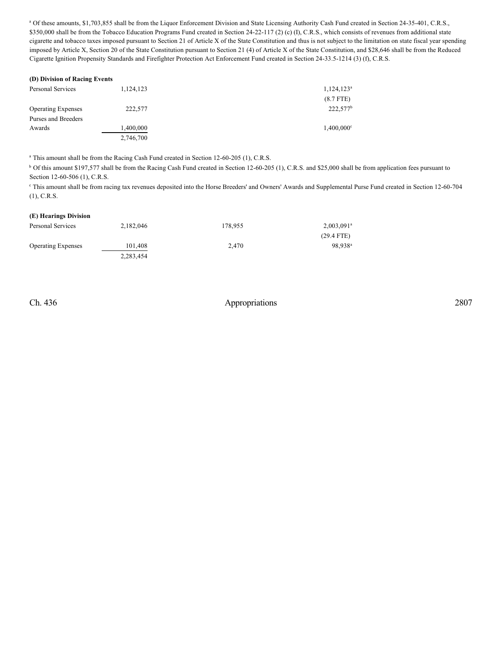<sup>a</sup> Of these amounts, \$1,703,855 shall be from the Liquor Enforcement Division and State Licensing Authority Cash Fund created in Section 24-35-401, C.R.S., \$350,000 shall be from the Tobacco Education Programs Fund created in Section 24-22-117 (2) (c) (I), C.R.S., which consists of revenues from additional state cigarette and tobacco taxes imposed pursuant to Section 21 of Article X of the State Constitution and thus is not subject to the limitation on state fiscal year spending imposed by Article X, Section 20 of the State Constitution pursuant to Section 21 (4) of Article X of the State Constitution, and \$28,646 shall be from the Reduced Cigarette Ignition Propensity Standards and Firefighter Protection Act Enforcement Fund created in Section 24-33.5-1214 (3) (f), C.R.S.

| (D) Division of Racing Events |           |                      |
|-------------------------------|-----------|----------------------|
| Personal Services             | 1,124,123 | $1,124,123^a$        |
|                               |           | $(8.7$ FTE)          |
| <b>Operating Expenses</b>     | 222,577   | 222,577 <sup>b</sup> |
| Purses and Breeders           |           |                      |
| Awards                        | 1,400,000 | $1,400,000^{\circ}$  |
|                               | 2,746,700 |                      |

 $^{\circ}$  This amount shall be from the Racing Cash Fund created in Section 12-60-205 (1), C.R.S.

<sup>b</sup> Of this amount \$197,577 shall be from the Racing Cash Fund created in Section 12-60-205 (1), C.R.S. and \$25,000 shall be from application fees pursuant to Section 12-60-506 (1), C.R.S.

This amount shall be from racing tax revenues deposited into the Horse Breeders' and Owners' Awards and Supplemental Purse Fund created in Section 12-60-704 (1), C.R.S.

### **(E) Hearings Division**

| Personal Services         | 2.182.046 | 178.955 | $2,003,091$ <sup>a</sup> |
|---------------------------|-----------|---------|--------------------------|
|                           |           |         | $(29.4$ FTE)             |
| <b>Operating Expenses</b> | 101.408   | 2.470   | 98.938 <sup>a</sup>      |
|                           | 2.283.454 |         |                          |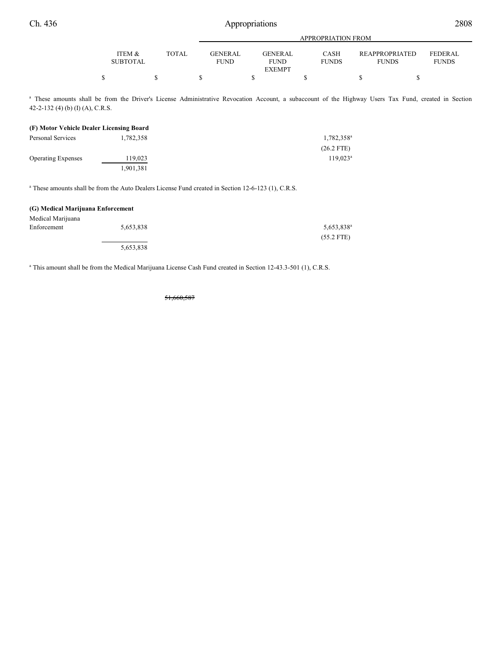|                           |       | <b>APPROPRIATION FROM</b>     |                                         |                             |                                |                         |
|---------------------------|-------|-------------------------------|-----------------------------------------|-----------------------------|--------------------------------|-------------------------|
| ITEM &<br><b>SUBTOTAL</b> | TOTAL | <b>GENERAL</b><br><b>FUND</b> | GENERAL<br><b>FUND</b><br><b>EXEMPT</b> | <b>CASH</b><br><b>FUNDS</b> | REAPPROPRIATED<br><b>FUNDS</b> | FEDERAL<br><b>FUNDS</b> |
|                           |       |                               |                                         |                             |                                |                         |

<sup>a</sup> These amounts shall be from the Driver's License Administrative Revocation Account, a subaccount of the Highway Users Tax Fund, created in Section 42-2-132 (4) (b) (I) (A), C.R.S.

#### **(F) Motor Vehicle Dealer Licensing Board**

| Personal Services         | 1,782,358 | 1,782,358 <sup>a</sup> |
|---------------------------|-----------|------------------------|
|                           |           | $(26.2$ FTE)           |
| <b>Operating Expenses</b> | 119,023   | $119.023^a$            |
|                           | 1,901,381 |                        |

<sup>a</sup> These amounts shall be from the Auto Dealers License Fund created in Section 12-6-123 (1), C.R.S.

#### **(G) Medical Marijuana Enforcement** Medical Marijuana Enforcement 5,653,838 5,653,838 5,653,838 5,653,838<sup>a</sup> (55.2 FTE) 5,653,838

<sup>a</sup> This amount shall be from the Medical Marijuana License Cash Fund created in Section 12-43.3-501 (1), C.R.S.

51,660,587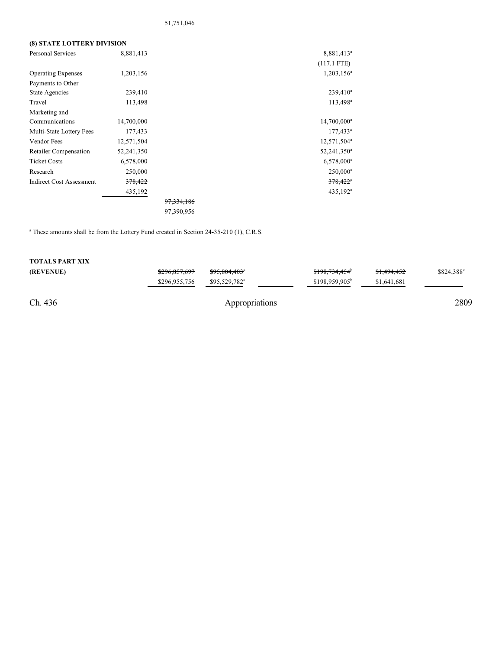## 51,751,046

### **(8) STATE LOTTERY DIVISION**

| Personal Services               | 8,881,413  |              | 8,881,413 <sup>a</sup>  |
|---------------------------------|------------|--------------|-------------------------|
|                                 |            |              | $(117.1$ FTE)           |
| <b>Operating Expenses</b>       | 1,203,156  |              | $1,203,156^a$           |
| Payments to Other               |            |              |                         |
| State Agencies                  | 239,410    |              | $239,410^a$             |
| Travel                          | 113,498    |              | $113,498^a$             |
| Marketing and                   |            |              |                         |
| Communications                  | 14,700,000 |              | $14,700,000^a$          |
| Multi-State Lottery Fees        | 177,433    |              | $177,433^a$             |
| Vendor Fees                     | 12,571,504 |              | 12,571,504 <sup>a</sup> |
| <b>Retailer Compensation</b>    | 52,241,350 |              | 52,241,350 <sup>a</sup> |
| <b>Ticket Costs</b>             | 6,578,000  |              | 6,578,000 <sup>a</sup>  |
| Research                        | 250,000    |              | $250,000^a$             |
| <b>Indirect Cost Assessment</b> | 378,422    |              | $378,422$ <sup>*</sup>  |
|                                 | 435,192    |              | 435,192 <sup>a</sup>    |
|                                 |            | 97, 334, 186 |                         |
|                                 |            | 97,390,956   |                         |

 $^{\circ}$  These amounts shall be from the Lottery Fund created in Section 24-35-210 (1), C.R.S.

| Ch. 436                |               | Appropriations            |                            |                        | 2809       |
|------------------------|---------------|---------------------------|----------------------------|------------------------|------------|
|                        | \$296,955,756 | $$95.529.782^a$           | $$198.959.905^b$           | \$1,641,681            |            |
| (REVENUE)              | \$296,857,697 | <del>\$95,804,403</del> * | \$198,734,454 <sup>b</sup> | <del>\$1,494,452</del> | \$824.388° |
| <b>TOTALS PART XIX</b> |               |                           |                            |                        |            |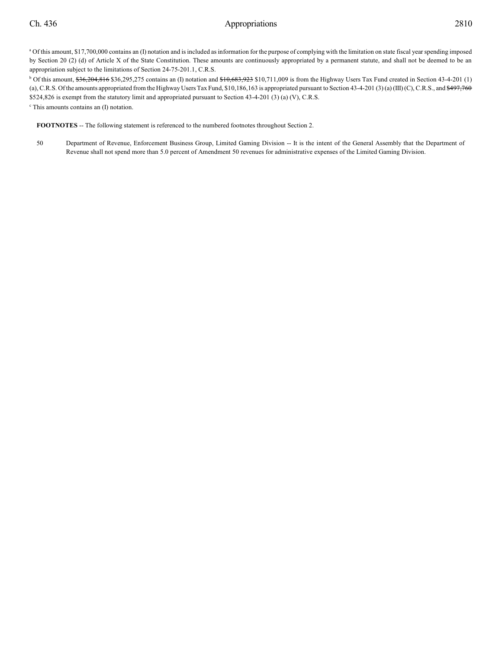<sup>a</sup> Of this amount, \$17,700,000 contains an (I) notation and is included as information for the purpose of complying with the limitation on state fiscal year spending imposed by Section 20 (2) (d) of Article X of the State Constitution. These amounts are continuously appropriated by a permanent statute, and shall not be deemed to be an appropriation subject to the limitations of Section 24-75-201.1, C.R.S.

 $b$  Of this amount,  $26,204,816$  \$36,295,275 contains an (I) notation and  $10,683,923$  \$10,711,009 is from the Highway Users Tax Fund created in Section 43-4-201 (1) (a), C.R.S. Of the amounts appropriated from the Highway Users Tax Fund, \$10,186,163 is appropriated pursuant to Section 43-4-201 (3) (a) (III) (C), C.R.S., and \$497,760 \$524,826 is exempt from the statutory limit and appropriated pursuant to Section 43-4-201 (3) (a) (V), C.R.S.

<sup>c</sup> This amounts contains an (I) notation.

**FOOTNOTES** -- The following statement is referenced to the numbered footnotes throughout Section 2.

50 Department of Revenue, Enforcement Business Group, Limited Gaming Division -- It is the intent of the General Assembly that the Department of Revenue shall not spend more than 5.0 percent of Amendment 50 revenues for administrative expenses of the Limited Gaming Division.